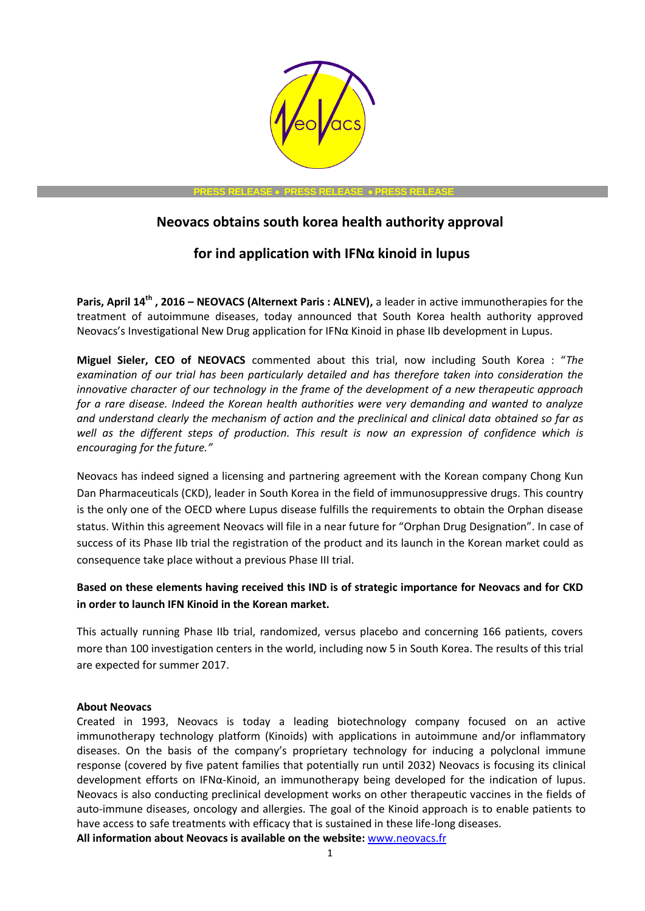

**PRESS RELEASE PRESS RELEASE PRESS RELEASE**

## **Neovacs obtains south korea health authority approval**

## **for ind application with IFNα kinoid in lupus**

**Paris, April 14th , 2016 – NEOVACS (Alternext Paris : ALNEV),** a leader in active immunotherapies for the treatment of autoimmune diseases, today announced that South Korea health authority approved Neovacs's Investigational New Drug application for IFNα Kinoid in phase IIb development in Lupus.

**Miguel Sieler, CEO of NEOVACS** commented about this trial, now including South Korea : "*The examination of our trial has been particularly detailed and has therefore taken into consideration the innovative character of our technology in the frame of the development of a new therapeutic approach for a rare disease. Indeed the Korean health authorities were very demanding and wanted to analyze and understand clearly the mechanism of action and the preclinical and clinical data obtained so far as well as the different steps of production. This result is now an expression of confidence which is encouraging for the future."*

Neovacs has indeed signed a licensing and partnering agreement with the Korean company Chong Kun Dan Pharmaceuticals (CKD), leader in South Korea in the field of immunosuppressive drugs. This country is the only one of the OECD where Lupus disease fulfills the requirements to obtain the Orphan disease status. Within this agreement Neovacs will file in a near future for "Orphan Drug Designation". In case of success of its Phase IIb trial the registration of the product and its launch in the Korean market could as consequence take place without a previous Phase III trial.

## **Based on these elements having received this IND is of strategic importance for Neovacs and for CKD in order to launch IFN Kinoid in the Korean market.**

This actually running Phase IIb trial, randomized, versus placebo and concerning 166 patients, covers more than 100 investigation centers in the world, including now 5 in South Korea. The results of this trial are expected for summer 2017.

## **About Neovacs**

Created in 1993, Neovacs is today a leading biotechnology company focused on an active immunotherapy technology platform (Kinoids) with applications in autoimmune and/or inflammatory diseases. On the basis of the company's proprietary technology for inducing a polyclonal immune response (covered by five patent families that potentially run until 2032) Neovacs is focusing its clinical development efforts on IFNα-Kinoid, an immunotherapy being developed for the indication of lupus. Neovacs is also conducting preclinical development works on other therapeutic vaccines in the fields of auto-immune diseases, oncology and allergies. The goal of the Kinoid approach is to enable patients to have access to safe treatments with efficacy that is sustained in these life-long diseases.

**All information about Neovacs is available on the website:** [www.neovacs.fr](http://www.neovacs.fr/)